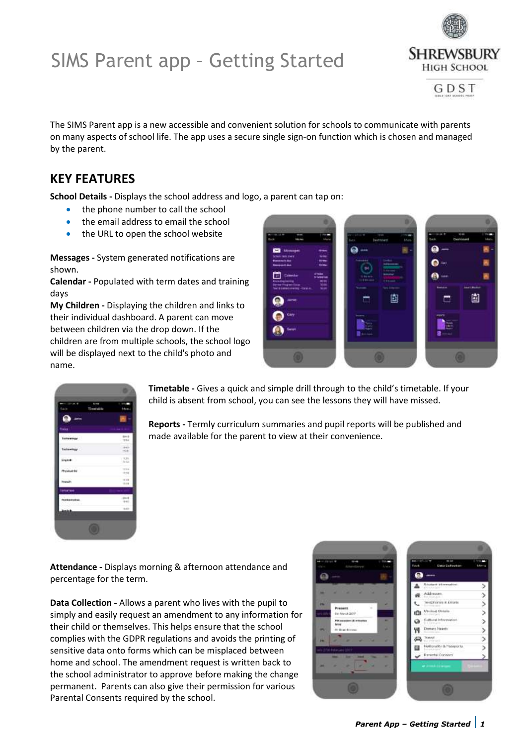## SIMS Parent app – Getting Started



GDST

The SIMS Parent app is a new accessible and convenient solution for schools to communicate with parents on many aspects of school life. The app uses a secure single sign-on function which is chosen and managed by the parent.

### **KEY FEATURES**

**School Details -** Displays the school address and logo, a parent can tap on:

- the phone number to call the school
- the email address to email the school
- the URL to open the school website

**Messages -** System generated notifications are shown.

**Calendar -** Populated with term dates and training days

**My Children -** Displaying the children and links to their individual dashboard. A parent can move between children via the drop down. If the children are from multiple schools, the school logo will be displayed next to the child's photo and name.



| 1015<br>rest.             |
|---------------------------|
| - 77<br>19 IEE<br>$-4.0$  |
| 1.31                      |
| $-10.66$<br>$+14$         |
| Z.<br>$-1.04$<br>$1514 -$ |
|                           |
| $+11.1$<br>$-0.41$        |
| tia.                      |
|                           |

**Timetable -** Gives a quick and simple drill through to the child's timetable. If your child is absent from school, you can see the lessons they will have missed.

**Reports -** Termly curriculum summaries and pupil reports will be published and made available for the parent to view at their convenience.

**Attendance -** Displays morning & afternoon attendance and percentage for the term.

**Data Collection -** Allows a parent who lives with the pupil to simply and easily request an amendment to any information for their child or themselves. This helps ensure that the school complies with the GDPR regulations and avoids the printing of sensitive data onto forms which can be misplaced between home and school. The amendment request is written back to the school administrator to approve before making the change permanent. Parents can also give their permission for various Parental Consents required by the school.

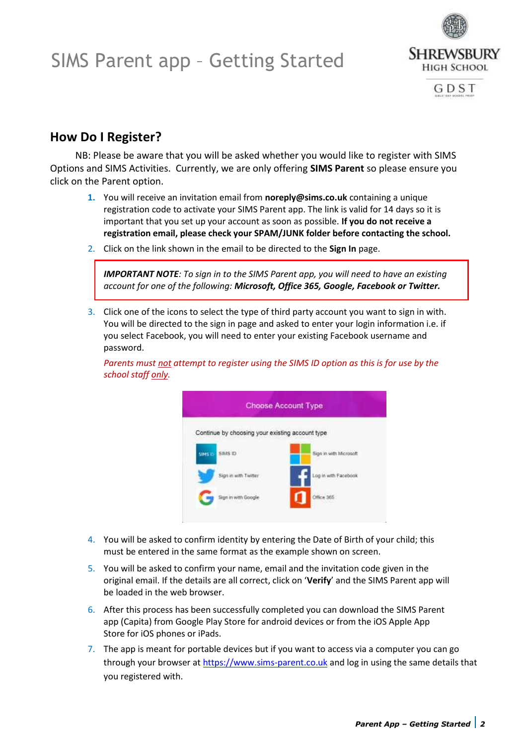### SIMS Parent app – Getting Started



GDST

### **How Do I Register?**

NB: Please be aware that you will be asked whether you would like to register with SIMS Options and SIMS Activities. Currently, we are only offering **SIMS Parent** so please ensure you click on the Parent option.

- **1.** You will receive an invitation email from **noreply@sims.co.uk** containing a unique registration code to activate your SIMS Parent app. The link is valid for 14 days so it is important that you set up your account as soon as possible. **If you do not receive a registration email, please check your SPAM/JUNK folder before contacting the school.**
- 2. Click on the link shown in the email to be directed to the **Sign In** page.

*IMPORTANT NOTE: To sign in to the SIMS Parent app, you will need to have an existing account for one of the following: Microsoft, Office 365, Google, Facebook or Twitter.*

3. Click one of the icons to select the type of third party account you want to sign in with. You will be directed to the sign in page and asked to enter your login information i.e. if you select Facebook, you will need to enter your existing Facebook username and password.

*Parents must not attempt to register using the SIMS ID option as this is for use by the school staff only.*



- 4. You will be asked to confirm identity by entering the Date of Birth of your child; this must be entered in the same format as the example shown on screen.
- 5. You will be asked to confirm your name, email and the invitation code given in the original email. If the details are all correct, click on '**Verify**' and the SIMS Parent app will be loaded in the web browser.
- 6. After this process has been successfully completed you can download the SIMS Parent app (Capita) from Google Play Store for android devices or from the iOS Apple App Store for iOS phones or iPads.
- 7. The app is meant for portable devices but if you want to access via a computer you can go through your browser at [https://www.sims-parent.co.uk](https://www.sims-parent.co.uk/) and log in using the same details that you registered with.